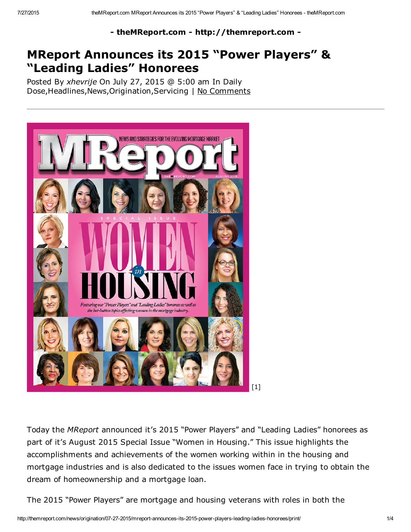- theMReport.com - http://themreport.com -

# MReport Announces its 2015 "Power Players" & "Leading Ladies" Honorees

Posted By *xhevrije* On July 27, 2015 @ 5:00 am In Daily Dose, Headlines, News, Origination, Servicing | No Comments



Today the *MReport* announced it's 2015 "Power Players" and "Leading Ladies" honorees as part of it's August 2015 Special Issue "Women in Housing." This issue highlights the accomplishments and achievements of the women working within in the housing and mortgage industries and is also dedicated to the issues women face in trying to obtain the dream of homeownership and a mortgage loan.

The 2015 "Power Players" are mortgage and housing veterans with roles in both the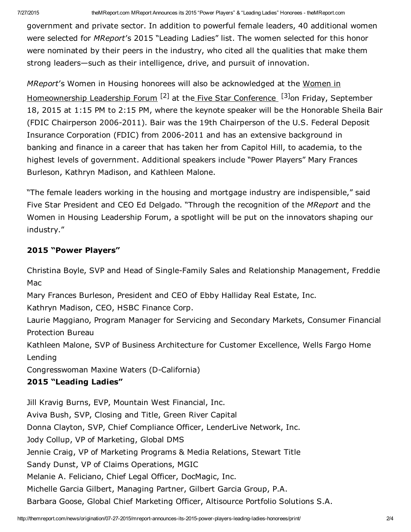government and private sector. In addition to powerful female leaders, 40 additional women were selected for *MReport*'s 2015 "Leading Ladies" list. The women selected for this honor were nominated by their peers in the industry, who cited all the qualities that make them strong leaders—such as their intelligence, drive, and pursuit of innovation.

*MReport*'s Women in Housing honorees will also be acknowledged at the Women in [Homeownership](http://thefivestar.com/fsc/events/women-in-housing-leadership-summit/) Leadership Forum <sup>[2]</sup> at the Five Star [Conference](http://thefivestar.com/fsc/) <sup>[3]</sup>on Friday, September 18, 2015 at 1:15 PM to 2:15 PM, where the keynote speaker will be the Honorable Sheila Bair (FDIC Chairperson 2006-2011). Bair was the 19th Chairperson of the U.S. Federal Deposit Insurance Corporation (FDIC) from 2006-2011 and has an extensive background in banking and finance in a career that has taken her from Capitol Hill, to academia, to the highest levels of government. Additional speakers include "Power Players" Mary Frances Burleson, Kathryn Madison, and Kathleen Malone.

"The female leaders working in the housing and mortgage industry are indispensible," said Five Star President and CEO Ed Delgado. "Through the recognition of the *MReport* and the Women in Housing Leadership Forum, a spotlight will be put on the innovators shaping our industry."

### 2015 "Power Players"

Christina Boyle, SVP and Head of Single-Family Sales and Relationship Management, Freddie Mac

Mary Frances Burleson, President and CEO of Ebby Halliday Real Estate, Inc.

Kathryn Madison, CEO, HSBC Finance Corp.

Laurie Maggiano, Program Manager for Servicing and Secondary Markets, Consumer Financial Protection Bureau

Kathleen Malone, SVP of Business Architecture for Customer Excellence, Wells Fargo Home Lending

Congresswoman Maxine Waters (D-California)

## 2015 "Leading Ladies"

Jill Kravig Burns, EVP, Mountain West Financial, Inc. Aviva Bush, SVP, Closing and Title, Green River Capital Donna Clayton, SVP, Chief Compliance Officer, LenderLive Network, Inc. Jody Collup, VP of Marketing, Global DMS Jennie Craig, VP of Marketing Programs & Media Relations, Stewart Title Sandy Dunst, VP of Claims Operations, MGIC Melanie A. Feliciano, Chief Legal Officer, DocMagic, Inc. Michelle Garcia Gilbert, Managing Partner, Gilbert Garcia Group, P.A. Barbara Goose, Global Chief Marketing Officer, Altisource Portfolio Solutions S.A.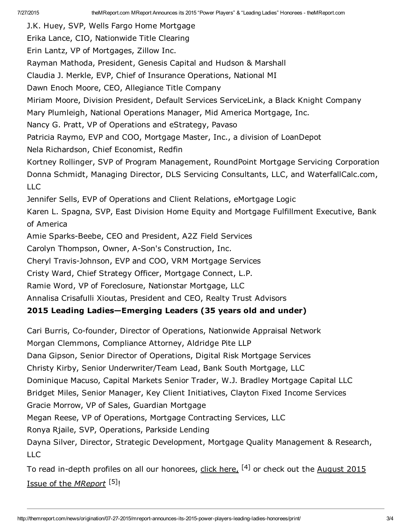J.K. Huey, SVP, Wells Fargo Home Mortgage Erika Lance, CIO, Nationwide Title Clearing Erin Lantz, VP of Mortgages, Zillow Inc. Rayman Mathoda, President, Genesis Capital and Hudson & Marshall Claudia J. Merkle, EVP, Chief of Insurance Operations, National MI Dawn Enoch Moore, CEO, Allegiance Title Company Miriam Moore, Division President, Default Services ServiceLink, a Black Knight Company Mary Plumleigh, National Operations Manager, Mid America Mortgage, Inc. Nancy G. Pratt, VP of Operations and eStrategy, Pavaso Patricia Raymo, EVP and COO, Mortgage Master, Inc., a division of LoanDepot Nela Richardson, Chief Economist, Redfin Kortney Rollinger, SVP of Program Management, RoundPoint Mortgage Servicing Corporation Donna Schmidt, Managing Director, DLS Servicing Consultants, LLC, and WaterfallCalc.com, LLC Jennifer Sells, EVP of Operations and Client Relations, eMortgage Logic Karen L. Spagna, SVP, East Division Home Equity and Mortgage Fulfillment Executive, Bank of America Amie Sparks-Beebe, CEO and President, A2Z Field Services Carolyn Thompson, Owner, A-Son's Construction, Inc. Cheryl Travis-Johnson, EVP and COO, VRM Mortgage Services Cristy Ward, Chief Strategy Officer, Mortgage Connect, L.P. Ramie Word, VP of Foreclosure, Nationstar Mortgage, LLC Annalisa Crisafulli Xioutas, President and CEO, Realty Trust Advisors 2015 Leading Ladies—Emerging Leaders (35 years old and under)

Cari Burris, Co-founder, Director of Operations, Nationwide Appraisal Network

Morgan Clemmons, Compliance Attorney, Aldridge Pite LLP

Dana Gipson, Senior Director of Operations, Digital Risk Mortgage Services

Christy Kirby, Senior Underwriter/Team Lead, Bank South Mortgage, LLC

Dominique Macuso, Capital Markets Senior Trader, W.J. Bradley Mortgage Capital LLC

Bridget Miles, Senior Manager, Key Client Initiatives, Clayton Fixed Income Services Gracie Morrow, VP of Sales, Guardian Mortgage

Megan Reese, VP of Operations, Mortgage Contracting Services, LLC

Ronya Rjaile, SVP, Operations, Parkside Lending

Dayna Silver, Director, Strategic Development, Mortgage Quality Management & Research, LLC

To read in-depth profiles on all our [honorees,](http://digital.themreport.com/h/c/1147-themreport) click [here,](http://themreport.com/wp-content/uploads/sites/28/2015/07/WIH.pdf)  $^{[4]}$  or check out the August 2015 Issue of the *MReport* [5]!